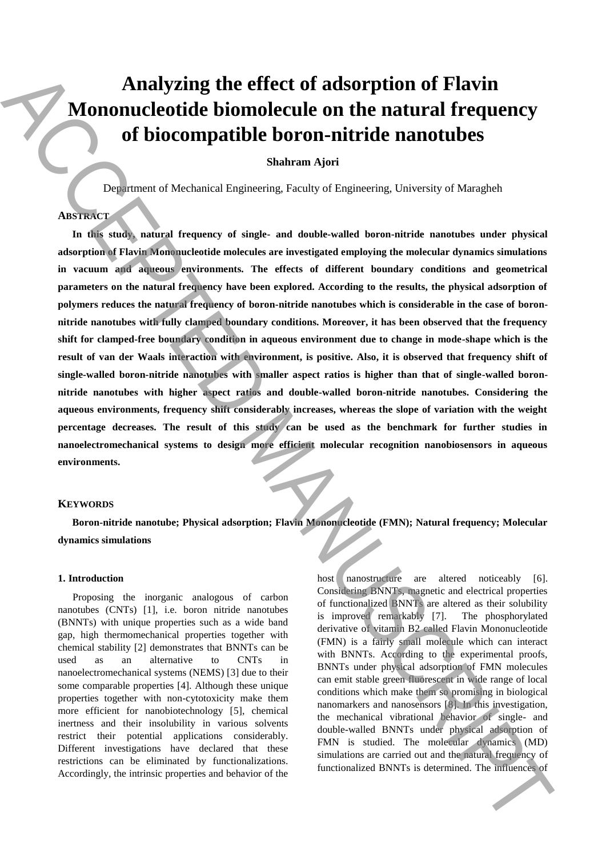# **Analyzing the effect of adsorption of Flavin Mononucleotide biomolecule on the natural frequency of biocompatible boron-nitride nanotubes**

# **Shahram Ajori**

Department of Mechanical Engineering, Faculty of Engineering, University of Maragheh

# **ABSTRACT**

**In this study, natural frequency of single- and double-walled boron-nitride nanotubes under physical adsorption of Flavin Mononucleotide molecules are investigated employing the molecular dynamics simulations in vacuum and aqueous environments. The effects of different boundary conditions and geometrical parameters on the natural frequency have been explored. According to the results, the physical adsorption of polymers reduces the natural frequency of boron-nitride nanotubes which is considerable in the case of boronnitride nanotubes with fully clamped boundary conditions. Moreover, it has been observed that the frequency shift for clamped-free boundary condition in aqueous environment due to change in mode-shape which is the result of van der Waals interaction with environment, is positive. Also, it is observed that frequency shift of single-walled boron-nitride nanotubes with smaller aspect ratios is higher than that of single-walled boronnitride nanotubes with higher aspect ratios and double-walled boron-nitride nanotubes. Considering the aqueous environments, frequency shift considerably increases, whereas the slope of variation with the weight percentage decreases. The result of this study can be used as the benchmark for further studies in nanoelectromechanical systems to design more efficient molecular recognition nanobiosensors in aqueous environments.** A halo proper control of the effect of adsorption of Flavin<br>
Monomatch compatible boron-nitride nanotubes<br>  $\frac{1}{2}$  the interval of Biocompatible boron-nitride nanotubes<br>  $\frac{1}{2}$  the interval of Biocompatible boron-nit

#### **KEYWORDS**

**Boron-nitride nanotube; Physical adsorption; Flavin Mononucleotide (FMN); Natural frequency; Molecular dynamics simulations**

### **1. Introduction**

Proposing the inorganic analogous of carbon nanotubes (CNTs) [1], i.e. boron nitride nanotubes (BNNTs) with unique properties such as a wide band gap, high thermomechanical properties together with chemical stability [2] demonstrates that BNNTs can be used as an alternative to CNTs in nanoelectromechanical systems (NEMS) [3] due to their some comparable properties [4]. Although these unique properties together with non-cytotoxicity make them more efficient for nanobiotechnology [5], chemical inertness and their insolubility in various solvents restrict their potential applications considerably. Different investigations have declared that these restrictions can be eliminated by functionalizations. Accordingly, the intrinsic properties and behavior of the host nanostructure are altered noticeably [6]. Considering BNNTs, magnetic and electrical properties of functionalized BNNTs are altered as their solubility is improved remarkably [7]. The phosphorylated derivative of vitamin B2 called Flavin Mononucleotide (FMN) is a fairly small molecule which can interact with BNNTs. According to the experimental proofs, BNNTs under physical adsorption of FMN molecules can emit stable green fluorescent in wide range of local conditions which make them so promising in biological nanomarkers and nanosensors [8]. In this investigation, the mechanical vibrational behavior of single- and double-walled BNNTs under physical adsorption of FMN is studied. The molecular dynamics (MD) simulations are carried out and the natural frequency of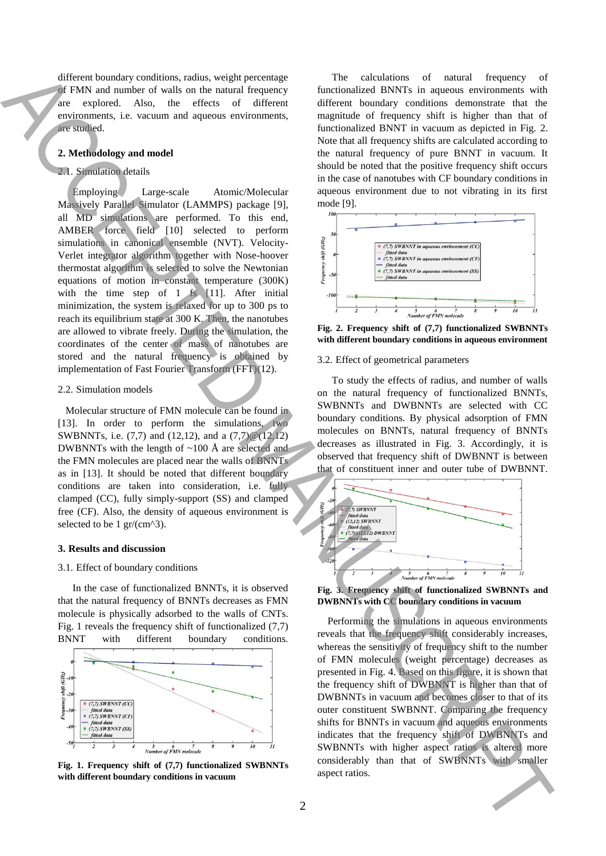different boundary conditions, radius, weight percentage of FMN and number of walls on the natural frequency explored. Also, the effects of different environments, i.e. vacuum and aqueous environments, are studied.

#### **2. Methodology and model**

## 2.1. Simulation details

Employing Large-scale Atomic/Molecular Massively Parallel Simulator (LAMMPS) package [9], all MD simulations are performed. To this end, AMBER force field [10] selected to perform simulations in canonical ensemble (NVT). Velocity-Verlet integrator algorithm together with Nose-hoover thermostat algorithm is selected to solve the Newtonian equations of motion in constant temperature (300K) with the time step of 1 fs [11]. After initial minimization, the system is relaxed for up to 300 ps to reach its equilibrium state at 300 K. Then, the nanotubes are allowed to vibrate freely. During the simulation, the coordinates of the center of mass of nanotubes are stored and the natural frequency is obtained by implementation of Fast Fourier Transform (FFT)(12). assemble the main of the spectra of DV mixed in the state of the state in the state of the state of the state of the state of the state of the state of the state of the state of the state of the state of the state of the

#### 2.2. Simulation models

 Molecular structure of FMN molecule can be found in [13]. In order to perform the simulations, two SWBNNTs, i.e. (7,7) and (12,12), and a (7,7)@(12,12) DWBNNTs with the length of  $\sim$ 100 Å are selected and the FMN molecules are placed near the walls of BNNTs as in [13]. It should be noted that different boundary conditions are taken into consideration, i.e. fully clamped (CC), fully simply-support (SS) and clamped free (CF). Also, the density of aqueous environment is selected to be 1 gr/(cm^3).

# **3. Results and discussion**

#### 3.1. Effect of boundary conditions

In the case of functionalized BNNTs, it is observed that the natural frequency of BNNTs decreases as FMN molecule is physically adsorbed to the walls of CNTs. Fig. 1 reveals the frequency shift of functionalized (7,7) BNNT with different boundary conditions.



**Fig. 1. Frequency shift of (7,7) functionalized SWBNNTs with different boundary conditions in vacuum**

The calculations of natural frequency of functionalized BNNTs in aqueous environments with different boundary conditions demonstrate that the magnitude of frequency shift is higher than that of functionalized BNNT in vacuum as depicted in Fig. 2. Note that all frequency shifts are calculated according to the natural frequency of pure BNNT in vacuum. It should be noted that the positive frequency shift occurs in the case of nanotubes with CF boundary conditions in aqueous environment due to not vibrating in its first mode [9].



**Fig. 2. Frequency shift of (7,7) functionalized SWBNNTs with different boundary conditions in aqueous environment**

#### 3.2. Effect of geometrical parameters

To study the effects of radius, and number of walls on the natural frequency of functionalized BNNTs, SWBNNTs and DWBNNTs are selected with CC boundary conditions. By physical adsorption of FMN molecules on BNNTs, natural frequency of BNNTs decreases as illustrated in Fig. 3. Accordingly, it is observed that frequency shift of DWBNNT is between that of constituent inner and outer tube of DWBNNT.



**Fig. 3. Frequency shift of functionalized SWBNNTs and DWBNNTs with CC boundary conditions in vacuum**

 Performing the simulations in aqueous environments reveals that the frequency shift considerably increases, whereas the sensitivity of frequency shift to the number of FMN molecules (weight percentage) decreases as presented in Fig. 4. Based on this figure, it is shown that the frequency shift of DWBNNT is higher than that of DWBNNTs in vacuum and becomes closer to that of its outer constituent SWBNNT. Comparing the frequency shifts for BNNTs in vacuum and aqueous environments indicates that the frequency shift of DWBNNTs and SWBNNTs with higher aspect ratios is altered more considerably than that of SWBNNTs with smaller